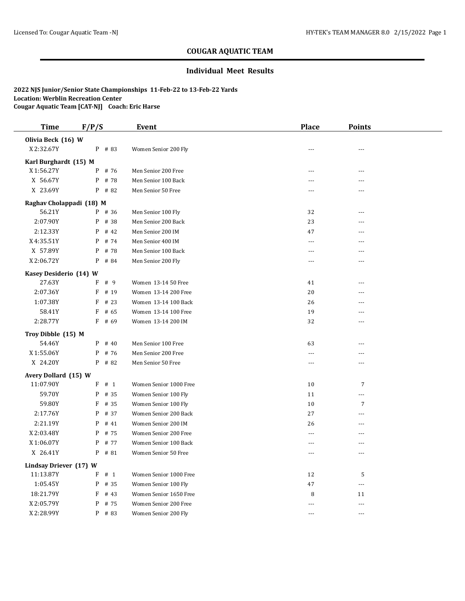#### **Individual Meet Results**

| <b>Time</b>                        | F/P/S     | Event                                     | <b>Place</b>         | <b>Points</b>  |  |
|------------------------------------|-----------|-------------------------------------------|----------------------|----------------|--|
| Olivia Beck (16) W                 |           |                                           |                      |                |  |
| X 2:32.67Y                         | $P$ # 83  | Women Senior 200 Fly                      | $ -$                 | $- - -$        |  |
| Karl Burghardt (15) M              |           |                                           |                      |                |  |
| X 1:56.27Y                         | # 76<br>P | Men Senior 200 Free                       | $- - -$              | ---            |  |
| X 56.67Y                           | P<br># 78 | Men Senior 100 Back                       | $- - -$              | ---            |  |
| X 23.69Y                           | P<br># 82 | Men Senior 50 Free                        | $\overline{a}$       | ---            |  |
|                                    |           |                                           |                      |                |  |
| Raghav Cholappadi (18) M<br>56.21Y | P # 36    |                                           |                      | $\overline{a}$ |  |
| 2:07.90Y                           | P<br># 38 | Men Senior 100 Fly<br>Men Senior 200 Back | 32<br>23             | ---            |  |
| 2:12.33Y                           | P<br># 42 |                                           |                      | ---            |  |
|                                    | # 74      | Men Senior 200 IM                         | 47<br>$\overline{a}$ | ---            |  |
| X4:35.51Y                          | P         | Men Senior 400 IM                         |                      |                |  |
| X 57.89Y                           | P<br># 78 | Men Senior 100 Back                       | $\overline{a}$       | ---            |  |
| X 2:06.72Y                         | P<br># 84 | Men Senior 200 Fly                        | $\overline{a}$       | ---            |  |
| Kasey Desiderio (14) W             |           |                                           |                      |                |  |
| 27.63Y                             | $F$ # 9   | Women 13-14 50 Free                       | 41                   | ---            |  |
| 2:07.36Y                           | F<br># 19 | Women 13-14 200 Free                      | 20                   | ---            |  |
| 1:07.38Y                           | F<br># 23 | Women 13-14 100 Back                      | 26                   | ---            |  |
| 58.41Y                             | F<br># 65 | Women 13-14 100 Free                      | 19                   | ---            |  |
| 2:28.77Y                           | $F$ # 69  | Women 13-14 200 IM                        | 32                   | ---            |  |
| Troy Dibble (15) M                 |           |                                           |                      |                |  |
| 54.46Y                             | $P$ # 40  | Men Senior 100 Free                       | 63                   | ---            |  |
| X 1:55.06Y                         | $P$ # 76  | Men Senior 200 Free                       | ---                  |                |  |
| X 24.20Y                           | $P$ # 82  | Men Senior 50 Free                        | $\overline{a}$       | ---            |  |
| Avery Dollard (15) W               |           |                                           |                      |                |  |
| 11:07.90Y                          | F # 1     | Women Senior 1000 Free                    | 10                   | $\overline{7}$ |  |
| 59.70Y                             | P<br># 35 | Women Senior 100 Fly                      | 11                   |                |  |
| 59.80Y                             | F<br># 35 | Women Senior 100 Fly                      | 10                   | 7              |  |
| 2:17.76Y                           | P<br># 37 | Women Senior 200 Back                     | 27                   | ---            |  |
| 2:21.19Y                           | # 41<br>P | Women Senior 200 IM                       | 26                   | ---            |  |
| X 2:03.48Y                         | P<br># 75 | Women Senior 200 Free                     | $\overline{a}$       | ---            |  |
| X 1:06.07Y                         | # 77<br>P | Women Senior 100 Back                     | $---$                | ---            |  |
| X 26.41Y                           | P<br># 81 | Women Senior 50 Free                      | ---                  | ---            |  |
| Lindsay Driever (17) W             |           |                                           |                      |                |  |
| 11:13.87Y                          | $F$ # 1   | Women Senior 1000 Free                    | 12                   | 5              |  |
| 1:05.45Y                           | P<br># 35 | Women Senior 100 Fly                      | 47                   | $\overline{a}$ |  |
| 18:21.79Y                          | F<br># 43 | Women Senior 1650 Free                    | 8                    | 11             |  |
| X 2:05.79Y                         | P<br># 75 | Women Senior 200 Free                     |                      | ---            |  |
| X 2:28.99Y                         | P<br># 83 | Women Senior 200 Fly                      | $-$                  | $\overline{a}$ |  |
|                                    |           |                                           |                      |                |  |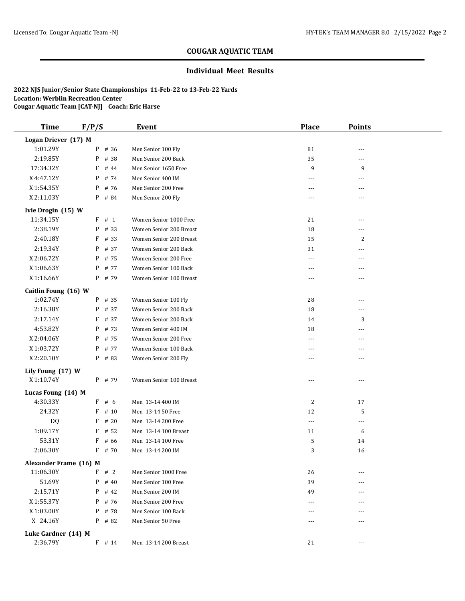#### **Individual Meet Results**

| <b>Time</b>            | F/P/S     | Event                   | <b>Place</b>   | <b>Points</b>  |  |
|------------------------|-----------|-------------------------|----------------|----------------|--|
| Logan Driever (17) M   |           |                         |                |                |  |
| 1:01.29Y               | # 36<br>P | Men Senior 100 Fly      | 81             | ---            |  |
| 2:19.85Y               | # 38<br>P | Men Senior 200 Back     | 35             | ---            |  |
| 17:34.32Y              | F<br># 44 | Men Senior 1650 Free    | 9              | 9              |  |
| X4:47.12Y              | # 74<br>P | Men Senior 400 IM       | ---            | ---            |  |
| X 1:54.35Y             | P # 76    | Men Senior 200 Free     | $\cdots$       | ---            |  |
| X 2:11.03Y             | P # 84    | Men Senior 200 Fly      | $---$          |                |  |
| Ivie Drogin (15) W     |           |                         |                |                |  |
| 11:34.15Y              | F # 1     | Women Senior 1000 Free  | 21             | ---            |  |
| 2:38.19Y               | # 33<br>P | Women Senior 200 Breast | 18             |                |  |
| 2:40.18Y               | F<br># 33 | Women Senior 200 Breast | 15             | 2              |  |
| 2:19.34Y               | # 37<br>P | Women Senior 200 Back   | 31             |                |  |
| X2:06.72Y              | # 75<br>P | Women Senior 200 Free   | $---$          | $- - -$        |  |
| X 1:06.63Y             | # 77<br>P | Women Senior 100 Back   | ---            | ---            |  |
| X 1:16.66Y             | P # 79    | Women Senior 100 Breast | ---            | ---            |  |
| Caitlin Foung (16) W   |           |                         |                |                |  |
| 1:02.74Y               | $P$ # 35  | Women Senior 100 Fly    | 28             | ---            |  |
| 2:16.38Y               | # 37<br>P | Women Senior 200 Back   | 18             | ---            |  |
| 2:17.14Y               | F<br># 37 | Women Senior 200 Back   | 14             | 3              |  |
| 4:53.82Y               | # 73<br>P | Women Senior 400 IM     | 18             |                |  |
| X 2:04.06Y             | # 75<br>P | Women Senior 200 Free   | $\cdots$       |                |  |
| X 1:03.72Y             | # 77<br>P | Women Senior 100 Back   | $- - -$        | ---            |  |
| X 2:20.10Y             | P # 83    | Women Senior 200 Fly    | $\overline{a}$ | ---            |  |
| Lily Foung (17) W      |           |                         |                |                |  |
| X 1:10.74Y             | P # 79    | Women Senior 100 Breast | $---$          | $- - -$        |  |
| Lucas Foung (14) M     |           |                         |                |                |  |
| 4:30.33Y               | F # 6     | Men 13-14 400 IM        | $\overline{c}$ | 17             |  |
| 24.32Y                 | # 10<br>F | Men 13-14 50 Free       | 12             | 5              |  |
| DQ                     | F<br>#20  | Men 13-14 200 Free      | $\overline{a}$ | $\overline{a}$ |  |
| 1:09.17Y               | # 52<br>F | Men 13-14 100 Breast    | 11             | 6              |  |
| 53.31Y                 | F<br># 66 | Men 13-14 100 Free      | 5              | 14             |  |
| 2:06.30Y               | F<br># 70 | Men 13-14 200 IM        | 3              | 16             |  |
| Alexander Frame (16) M |           |                         |                |                |  |
| 11:06.30Y              | F # 2     | Men Senior 1000 Free    | 26             | $---$          |  |
| 51.69Y                 | P<br># 40 | Men Senior 100 Free     | 39             |                |  |
| 2:15.71Y               | P<br># 42 | Men Senior 200 IM       | 49             | ---            |  |
| X 1:55.37Y             | # 76<br>P | Men Senior 200 Free     | ---            |                |  |
| X 1:03.00Y             | $P$ # 78  | Men Senior 100 Back     | $\cdots$       | ---            |  |
| X 24.16Y               | P # 82    | Men Senior 50 Free      | ---            |                |  |
| Luke Gardner (14) M    |           |                         |                |                |  |
| 2:36.79Y               | $F$ # 14  | Men 13-14 200 Breast    | 21             | $---$          |  |
|                        |           |                         |                |                |  |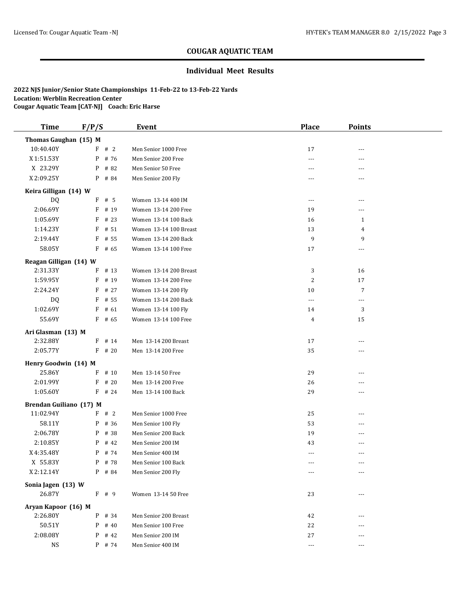#### **Individual Meet Results**

| <b>Time</b>                    | F/P/S |                  | Event                                    | <b>Place</b> | <b>Points</b>  |  |
|--------------------------------|-------|------------------|------------------------------------------|--------------|----------------|--|
| Thomas Gaughan (15) M          |       |                  |                                          |              |                |  |
| 10:40.40Y                      |       | F # 2            | Men Senior 1000 Free                     | 17           | ---            |  |
| X 1:51.53Y                     |       | P # 76           | Men Senior 200 Free                      | ---          | ---            |  |
| X 23.29Y                       |       | P # 82           | Men Senior 50 Free                       | $- - -$      | $- - -$        |  |
| X 2:09.25Y                     |       | P # 84           | Men Senior 200 Fly                       |              | $- - -$        |  |
| Keira Gilligan (14) W          |       |                  |                                          |              |                |  |
| DQ                             |       | $F$ # 5          | Women 13-14 400 IM                       | $---$        | $\overline{a}$ |  |
| 2:06.69Y                       |       | F # 19           | Women 13-14 200 Free                     | 19           | ---            |  |
| 1:05.69Y                       |       | $F$ # 23         | Women 13-14 100 Back                     | 16           | 1              |  |
| 1:14.23Y                       |       | $F$ # 51         | Women 13-14 100 Breast                   | 13           | 4              |  |
| 2:19.44Y                       | F     | # 55             | Women 13-14 200 Back                     | 9            | 9              |  |
| 58.05Y                         |       | $F$ # 65         | Women 13-14 100 Free                     | 17           | $---$          |  |
| Reagan Gilligan (14) W         |       |                  |                                          |              |                |  |
| 2:31.33Y                       |       | $F$ # 13         | Women 13-14 200 Breast                   | 3            | 16             |  |
| 1:59.95Y                       | F     | # 19             | Women 13-14 200 Free                     | 2            | 17             |  |
| 2:24.24Y                       | F     | # 27             | Women 13-14 200 Fly                      | 10           | $\overline{7}$ |  |
| DQ                             | F     | # 55             | Women 13-14 200 Back                     | $\ldots$     | $---$          |  |
| 1:02.69Y                       | F     | # 61             | Women 13-14 100 Fly                      | 14           | 3              |  |
| 55.69Y                         |       | $F$ # 65         | Women 13-14 100 Free                     | 4            | 15             |  |
| Ari Glasman (13) M             |       |                  |                                          |              |                |  |
| 2:32.88Y                       |       | $F$ # 14         | Men 13-14 200 Breast                     | 17           | ---            |  |
| 2:05.77Y                       |       | $F$ # 20         | Men 13-14 200 Free                       | 35           | ---            |  |
|                                |       |                  |                                          |              |                |  |
| Henry Goodwin (14) M<br>25.86Y |       | # 10             |                                          |              |                |  |
|                                | F     |                  | Men 13-14 50 Free                        | 29           | ---            |  |
| 2:01.99Y<br>1:05.60Y           | F     | # 20<br>$F$ # 24 | Men 13-14 200 Free<br>Men 13-14 100 Back | 26<br>29     | $- - -$        |  |
|                                |       |                  |                                          |              | ---            |  |
| Brendan Guiliano (17) M        |       |                  |                                          |              |                |  |
| 11:02.94Y                      |       | F # 2            | Men Senior 1000 Free                     | 25           | ---            |  |
| 58.11Y                         |       | $P$ # 36         | Men Senior 100 Fly                       | 53           | ---            |  |
| 2:06.78Y                       |       | $P$ # 38         | Men Senior 200 Back                      | 19           | $---$          |  |
| 2:10.85Y                       |       | $P$ # 42         | Men Senior 200 IM                        | 43           | $---$          |  |
| X4:35.48Y                      |       | $P$ # 74         | Men Senior 400 IM                        | $\cdots$     | $- - -$        |  |
| X 55.83Y                       |       | $P$ # 78         | Men Senior 100 Back                      |              |                |  |
| X 2:12.14Y                     |       | $P$ # 84         | Men Senior 200 Fly                       | $\cdots$     | $\cdots$       |  |
| Sonia Jagen (13) W             |       |                  |                                          |              |                |  |
| 26.87Y                         |       | $F$ # 9          | Women 13-14 50 Free                      | 23           | $- - -$        |  |
| Aryan Kapoor (16) M            |       |                  |                                          |              |                |  |
| 2:26.80Y                       |       | $P$ # 34         | Men Senior 200 Breast                    | 42           |                |  |
| 50.51Y                         |       | $P$ # 40         | Men Senior 100 Free                      | 22           |                |  |
| 2:08.08Y                       |       | $P$ # 42         | Men Senior 200 IM                        | 27           |                |  |
| <b>NS</b>                      |       | $P$ # 74         | Men Senior 400 IM                        | $\cdots$     | $---$          |  |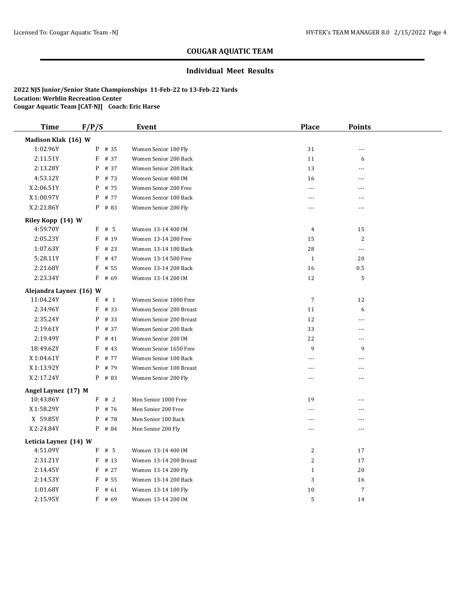#### **Individual Meet Results**

| <b>Time</b>             | F/P/S     | Event                   | <b>Place</b>   | <b>Points</b>  |  |
|-------------------------|-----------|-------------------------|----------------|----------------|--|
| Madison Klak (16) W     |           |                         |                |                |  |
| 1:02.96Y                | P # 35    | Women Senior 100 Fly    | 31             | $\overline{a}$ |  |
| 2:11.51Y                | $F$ # 37  | Women Senior 200 Back   | 11             | 6              |  |
| 2:13.28Y                | P<br># 37 | Women Senior 200 Back   | 13             | ---            |  |
| 4:53.12Y                | P<br># 73 | Women Senior 400 IM     | 16             | ---            |  |
| X2:06.51Y               | P<br># 75 | Women Senior 200 Free   | $---$          | ---            |  |
| X 1:00.97Y              | # 77<br>P | Women Senior 100 Back   | $- - -$        | ---            |  |
| X 2:21.86Y              | $P$ # 83  | Women Senior 200 Fly    | $---$          | ---            |  |
| Riley Kopp (14) W       |           |                         |                |                |  |
| 4:59.70Y                | $F$ # 5   | Women 13-14 400 IM      | $\overline{4}$ | 15             |  |
| 2:05.23Y                | F<br># 19 | Women 13-14 200 Free    | 15             | 2              |  |
| 1:07.63Y                | F<br># 23 | Women 13-14 100 Back    | 28             | $---$          |  |
| 5:28.11Y                | F<br># 47 | Women 13-14 500 Free    | $\mathbf{1}$   | 20             |  |
| 2:21.68Y                | # 55<br>F | Women 13-14 200 Back    | 16             | 0.5            |  |
| 2:23.34Y                | F<br># 69 | Women 13-14 200 IM      | 12             | 5              |  |
| Alejandra Laynez (16) W |           |                         |                |                |  |
| 11:04.24Y               | F # 1     | Women Senior 1000 Free  | $\overline{7}$ | 12             |  |
| 2:34.96Y                | F<br># 33 | Women Senior 200 Breast | 11             | 6              |  |
| 2:35.24Y                | # 33<br>P | Women Senior 200 Breast | 12             | ---            |  |
| 2:19.61Y                | # 37<br>P | Women Senior 200 Back   | 33             | $\overline{a}$ |  |
| 2:19.49Y                | P<br># 41 | Women Senior 200 IM     | 22             | $\sim$         |  |
| 18:49.62Y               | F<br># 43 | Women Senior 1650 Free  | 9              | 9              |  |
| X 1:04.61Y              | # 77<br>P | Women Senior 100 Back   | $-$            | ---            |  |
| X 1:13.92Y              | P<br># 79 | Women Senior 100 Breast | $---$          | $---$          |  |
| X 2:17.24Y              | $P$ # 83  | Women Senior 200 Fly    | ---            | ---            |  |
| Angel Laynez (17) M     |           |                         |                |                |  |
| 10:43.86Y               | #2<br>F   | Men Senior 1000 Free    | 19             | $\overline{a}$ |  |
| X 1:58.29Y              | # 76<br>P | Men Senior 200 Free     | $- - -$        | $\sim$         |  |
| X 59.85Y                | P<br># 78 | Men Senior 100 Back     | $\frac{1}{2}$  | $- - -$        |  |
| X 2:24.84Y              | P # 84    | Men Senior 200 Fly      | $- - -$        | $\overline{a}$ |  |
| Leticia Laynez (14) W   |           |                         |                |                |  |
| 4:51.09Y                | F<br># 5  | Women 13-14 400 IM      | 2              | 17             |  |
| 2:31.21Y                | F<br># 13 | Women 13-14 200 Breast  | 2              | 17             |  |
| 2:14.45Y                | F<br># 27 | Women 13-14 200 Fly     | $\mathbf{1}$   | 20             |  |
| 2:14.53Y                | F<br># 55 | Women 13-14 200 Back    | 3              | 16             |  |
| 1:01.68Y                | F<br># 61 | Women 13-14 100 Fly     | 10             | 7              |  |
| 2:15.95Y                | F<br># 69 | Women 13-14 200 IM      | 5              | 14             |  |
|                         |           |                         |                |                |  |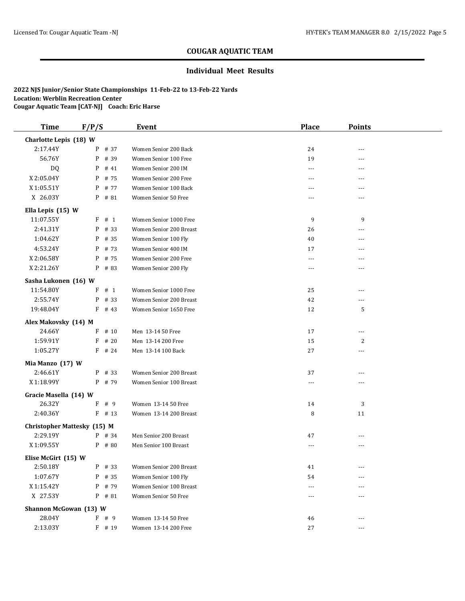#### **Individual Meet Results**

| <b>Time</b>                        | F/P/S |          | <b>Event</b>            | <b>Place</b>   | <b>Points</b>  |  |
|------------------------------------|-------|----------|-------------------------|----------------|----------------|--|
| Charlotte Lepis (18) W             |       |          |                         |                |                |  |
| 2:17.44Y                           |       | P # 37   | Women Senior 200 Back   | 24             | ---            |  |
| 56.76Y                             | P     | # 39     | Women Senior 100 Free   | 19             | ---            |  |
| DQ                                 | P     | # 41     | Women Senior 200 IM     | $\overline{a}$ | $\overline{a}$ |  |
| X 2:05.04Y                         | P     | # 75     | Women Senior 200 Free   | $- - -$        | $- - -$        |  |
| X 1:05.51Y                         | P     | # 77     | Women Senior 100 Back   | $- - -$        | $- - -$        |  |
| X 26.03Y                           |       | P # 81   | Women Senior 50 Free    | ---            | ---            |  |
| Ella Lepis (15) W                  |       |          |                         |                |                |  |
| 11:07.55Y                          | F     | # 1      | Women Senior 1000 Free  | 9              | 9              |  |
| 2:41.31Y                           | P     | # 33     | Women Senior 200 Breast | 26             | $\overline{a}$ |  |
| 1:04.62Y                           |       | $P$ # 35 | Women Senior 100 Fly    | 40             |                |  |
| 4:53.24Y                           | P     | # 73     | Women Senior 400 IM     | 17             |                |  |
| X2:06.58Y                          | P     | # 75     | Women Senior 200 Free   | $---$          | ---            |  |
| X 2:21.26Y                         |       | $P$ # 83 | Women Senior 200 Fly    | $\cdots$       | ---            |  |
| Sasha Lukonen (16) W               |       |          |                         |                |                |  |
| 11:54.80Y                          |       | F # 1    | Women Senior 1000 Free  | 25             | ---            |  |
| 2:55.74Y                           | P     | # 33     | Women Senior 200 Breast | 42             | $- - -$        |  |
| 19:48.04Y                          |       | $F$ # 43 | Women Senior 1650 Free  | 12             | 5              |  |
| Alex Makovsky (14) M               |       |          |                         |                |                |  |
| 24.66Y                             | F     | # 10     | Men 13-14 50 Free       | 17             |                |  |
| 1:59.91Y                           | F     | # 20     | Men 13-14 200 Free      | 15             | $\overline{c}$ |  |
| 1:05.27Y                           |       | $F$ # 24 | Men 13-14 100 Back      | 27             | ---            |  |
| Mia Manzo (17) W                   |       |          |                         |                |                |  |
| 2:46.61Y                           |       | P # 33   | Women Senior 200 Breast | 37             | $- - -$        |  |
| X 1:18.99Y                         |       | $P$ # 79 | Women Senior 100 Breast | $\cdots$       |                |  |
| Gracie Masella (14) W              |       |          |                         |                |                |  |
| 26.32Y                             |       | F # 9    | Women 13-14 50 Free     | 14             | 3              |  |
| 2:40.36Y                           |       | $F$ # 13 | Women 13-14 200 Breast  | 8              | 11             |  |
| <b>Christopher Mattesky (15) M</b> |       |          |                         |                |                |  |
| 2:29.19Y                           |       | $P$ # 34 | Men Senior 200 Breast   | 47             | $---$          |  |
| X 1:09.55Y                         |       | $P$ # 80 | Men Senior 100 Breast   | $\cdots$       | $---$          |  |
| Elise McGirt (15) W                |       |          |                         |                |                |  |
| 2:50.18Y                           | P     | # 33     | Women Senior 200 Breast | 41             | $---$          |  |
| 1:07.67Y                           | P     | # 35     | Women Senior 100 Fly    | 54             |                |  |
| X 1:15.42Y                         | P     | # 79     | Women Senior 100 Breast | $- - -$        |                |  |
| X 27.53Y                           |       | P # 81   | Women Senior 50 Free    | ---            |                |  |
| Shannon McGowan (13) W             |       |          |                         |                |                |  |
| 28.04Y                             |       | F # 9    | Women 13-14 50 Free     | 46             |                |  |
| 2:13.03Y                           |       | F # 19   | Women 13-14 200 Free    | 27             | ---            |  |
|                                    |       |          |                         |                |                |  |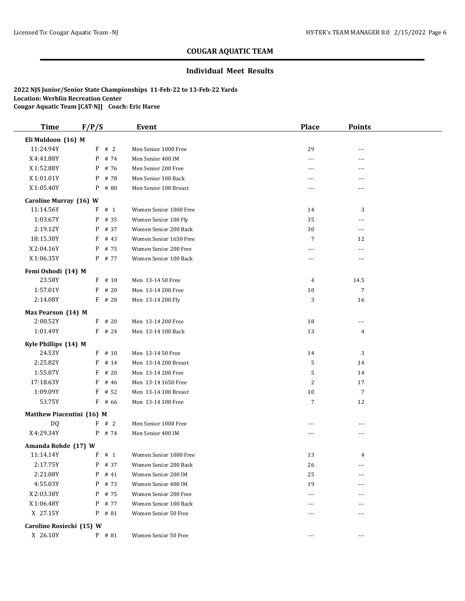#### **Individual Meet Results**

| <b>Time</b>               | F/P/S |          | <b>Event</b>           | <b>Place</b> | <b>Points</b>     |  |
|---------------------------|-------|----------|------------------------|--------------|-------------------|--|
| Eli Muldoon (16) M        |       |          |                        |              |                   |  |
| 11:24.94Y                 |       | F # 2    | Men Senior 1000 Free   | 29           |                   |  |
| X 4:41.88Y                |       | $P$ # 74 | Men Senior 400 IM      | $---$        | ---               |  |
| X 1:52.88Y                |       | $P$ # 76 | Men Senior 200 Free    | $---$        | $---$             |  |
| X 1:01.01Y                | P     | # 78     | Men Senior 100 Back    | ---          | ---               |  |
| X 1:05.40Y                | P     | # 80     | Men Senior 100 Breast  | $---$        | ---               |  |
| Caroline Murray (16) W    |       |          |                        |              |                   |  |
| 11:14.56Y                 | F     | # 1      | Women Senior 1000 Free | 14           | 3                 |  |
| 1:03.67Y                  | P     | # 35     | Women Senior 100 Fly   | 35           |                   |  |
| 2:19.12Y                  | P     | # 37     | Women Senior 200 Back  | 30           | ---               |  |
| 18:15.38Y                 | F     | # 43     | Women Senior 1650 Free | 7            | 12                |  |
| X2:04.16Y                 | P     | # 75     | Women Senior 200 Free  | $---$        | ---               |  |
| X 1:06.35Y                |       | P # 77   | Women Senior 100 Back  | $---$        | $\overline{a}$    |  |
| Femi Oshodi (14) M        |       |          |                        |              |                   |  |
| 23.58Y                    |       | $F$ # 10 | Men 13-14 50 Free      | 4            | 14.5              |  |
| 1:57.01Y                  | F     | # 20     | Men 13-14 200 Free     | 10           | $7\overline{ }$   |  |
| 2:14.08Y                  |       | $F$ # 28 | Men 13-14 200 Fly      | 3            | 16                |  |
| Max Pearson (14) M        |       |          |                        |              |                   |  |
| 2:00.52Y                  |       | $F$ # 20 | Men 13-14 200 Free     | 18           | ---               |  |
| 1:01.49Y                  |       | $F$ # 24 | Men 13-14 100 Back     | 13           | 4                 |  |
|                           |       |          |                        |              |                   |  |
| Kyle Phillips (14) M      |       |          |                        |              |                   |  |
| 24.53Y                    |       | $F$ # 10 | Men 13-14 50 Free      | 14           | 3                 |  |
| 2:25.82Y                  | F     | # 14     | Men 13-14 200 Breast   | 5            | 14                |  |
| 1:55.07Y                  | F     | #20      | Men 13-14 200 Free     | 5            | 14                |  |
| 17:18.63Y                 | F     | # 46     | Men 13-14 1650 Free    | $\sqrt{2}$   | 17                |  |
| 1:09.09Y                  | F     | # 52     | Men 13-14 100 Breast   | 10           | $\overline{7}$    |  |
| 53.75Y                    |       | $F$ # 66 | Men 13-14 100 Free     | 7            | 12                |  |
| Matthew Piacentini (16) M |       |          |                        |              |                   |  |
| DQ                        |       | F # 2    | Men Senior 1000 Free   | $---$        | $\overline{a}$    |  |
| X 4:29.34Y                |       | $P$ # 74 | Men Senior 400 IM      | $---$        | ---               |  |
| Amanda Rohde (17) W       |       |          |                        |              |                   |  |
| 11:14.14Y                 |       | F # 1    | Women Senior 1000 Free | 13           | 4                 |  |
| 2:17.75Y                  |       | P # 37   | Women Senior 200 Back  | $26\,$       | $\qquad \qquad -$ |  |
| 2:21.08Y                  | P     | # 41     | Women Senior 200 IM    | 25           | $- - -$           |  |
| 4:55.03Y                  | P     | # 73     | Women Senior 400 IM    | 19           |                   |  |
| X 2:03.38Y                |       | P # 75   | Women Senior 200 Free  | $---$        |                   |  |
| X 1:06.48Y                | P     | # 77     | Women Senior 100 Back  | ---          |                   |  |
| X 27.15Y                  |       | $P$ # 81 | Women Senior 50 Free   | $---$        | $---$             |  |
| Caroline Rosiecki (15) W  |       |          |                        |              |                   |  |
| X 26.10Y                  |       | $P$ # 81 | Women Senior 50 Free   | $\cdots$     | ---               |  |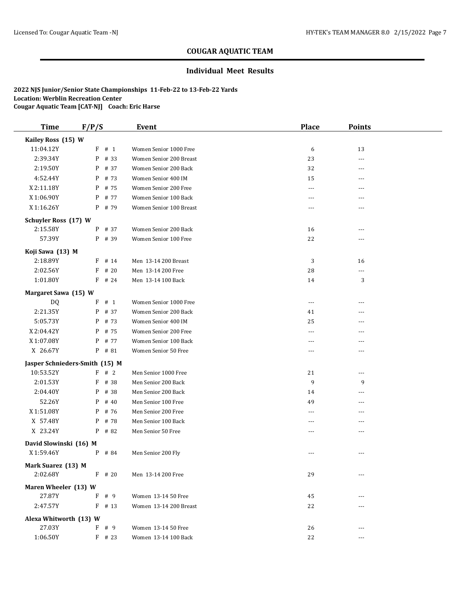#### **Individual Meet Results**

| <b>Time</b>                    | F/P/S |          | <b>Event</b>            | <b>Place</b>             | <b>Points</b>  |  |
|--------------------------------|-------|----------|-------------------------|--------------------------|----------------|--|
| Kailey Ross (15) W             |       |          |                         |                          |                |  |
| 11:04.12Y                      |       | F # 1    | Women Senior 1000 Free  | 6                        | 13             |  |
| 2:39.34Y                       | P     | # 33     | Women Senior 200 Breast | 23                       | ---            |  |
| 2:19.50Y                       | P     | # 37     | Women Senior 200 Back   | 32                       | ---            |  |
| 4:52.44Y                       | P     | # 73     | Women Senior 400 IM     | 15                       | $- - -$        |  |
| X 2:11.18Y                     | P     | # 75     | Women Senior 200 Free   | $---$                    | ---            |  |
| X 1:06.90Y                     | P     | # 77     | Women Senior 100 Back   | $\cdots$                 | ---            |  |
| X 1:16.26Y                     |       | P # 79   | Women Senior 100 Breast | $\cdots$                 | $---$          |  |
| Schuyler Ross (17) W           |       |          |                         |                          |                |  |
| 2:15.58Y                       |       | P # 37   | Women Senior 200 Back   | 16                       | $- - -$        |  |
| 57.39Y                         |       | P # 39   | Women Senior 100 Free   | 22                       |                |  |
| Koji Sawa (13) M               |       |          |                         |                          |                |  |
| 2:18.89Y                       |       | $F$ # 14 | Men 13-14 200 Breast    | 3                        | 16             |  |
| 2:02.56Y                       | F     | # 20     | Men 13-14 200 Free      | 28                       | $\overline{a}$ |  |
| 1:01.80Y                       |       | $F$ # 24 | Men 13-14 100 Back      | 14                       | 3              |  |
| Margaret Sawa (15) W           |       |          |                         |                          |                |  |
| DQ                             | F     | # 1      | Women Senior 1000 Free  | $\overline{\phantom{a}}$ | $\overline{a}$ |  |
| 2:21.35Y                       | P     | # 37     | Women Senior 200 Back   | 41                       |                |  |
| 5:05.73Y                       |       | $P$ # 73 | Women Senior 400 IM     | 25                       | ---            |  |
| X 2:04.42Y                     | P     | # 75     | Women Senior 200 Free   | $---$                    |                |  |
| X 1:07.08Y                     | P     | # 77     | Women Senior 100 Back   | $\cdots$                 | ---            |  |
| X 26.67Y                       |       | P # 81   | Women Senior 50 Free    | ---                      | ---            |  |
| Jasper Schnieders-Smith (15) M |       |          |                         |                          |                |  |
| 10:53.52Y                      |       | F # 2    | Men Senior 1000 Free    | 21                       | ---            |  |
| 2:01.53Y                       | F     | # 38     | Men Senior 200 Back     | 9                        | 9              |  |
| 2:04.40Y                       | P     | # 38     | Men Senior 200 Back     | 14                       |                |  |
| 52.26Y                         | P     | # 40     | Men Senior 100 Free     | 49                       |                |  |
| X 1:51.08Y                     | P     | # 76     | Men Senior 200 Free     | $- - -$                  | $---$          |  |
| X 57.48Y                       | P     | # 78     | Men Senior 100 Back     | ---                      |                |  |
| X 23.24Y                       |       | P # 82   | Men Senior 50 Free      | $---$                    | $---$          |  |
| David Slowinski (16) M         |       |          |                         |                          |                |  |
| X 1:59.46Y                     | P     | # 84     | Men Senior 200 Fly      |                          | ---            |  |
| Mark Suarez (13) M             |       |          |                         |                          |                |  |
| 2:02.68Y                       |       | $F$ # 20 | Men 13-14 200 Free      | 29                       | $---$          |  |
| Maren Wheeler (13) W           |       |          |                         |                          |                |  |
| 27.87Y                         | F     | # 9      | Women 13-14 50 Free     | 45                       |                |  |
| 2:47.57Y                       |       | $F$ # 13 | Women 13-14 200 Breast  | 22                       | $---$          |  |
| Alexa Whitworth (13) W         |       |          |                         |                          |                |  |
| 27.03Y                         |       | F # 9    | Women 13-14 50 Free     | 26                       | $---$          |  |
| 1:06.50Y                       |       | $F$ # 23 | Women 13-14 100 Back    | 22                       | $\overline{a}$ |  |